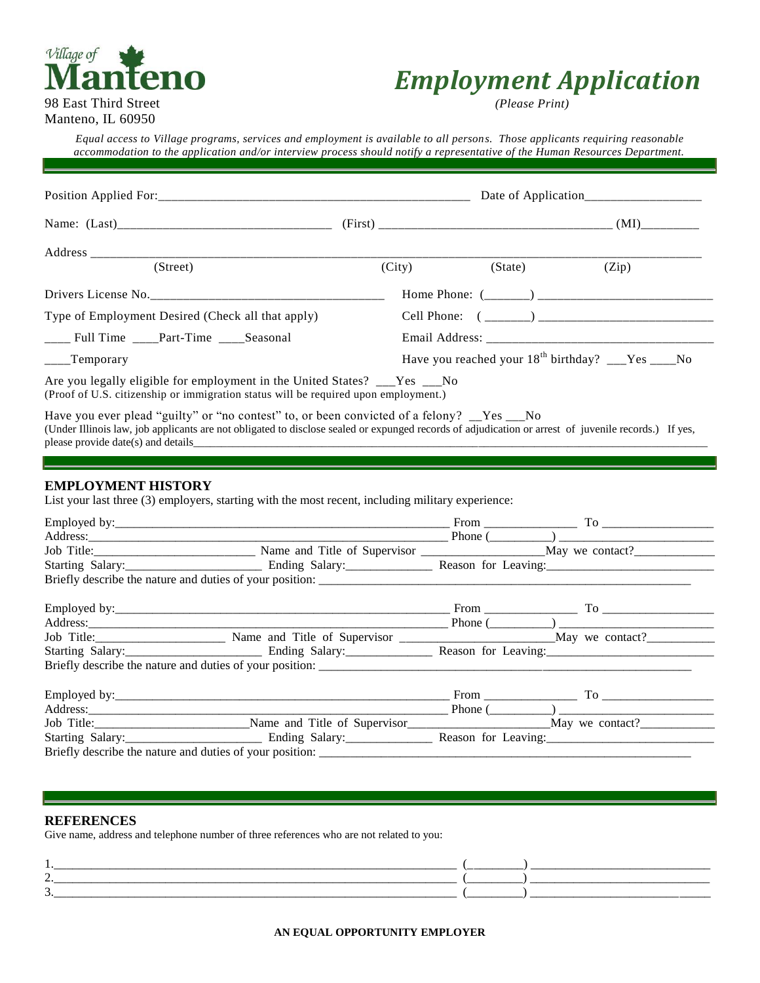## Village of **lanteno** 98 East Third Street *(Please Print)*

# *Employment Application*

Manteno, IL 60950

*Equal access to Village programs, services and employment is available to all persons. Those applicants requiring reasonable accommodation to the application and/or interview process should notify a representative of the Human Resources Department.*

| (Street)                                  |                                                                                                                                                                                                                                                    | (City)                                                | (State) | (Zip) |
|-------------------------------------------|----------------------------------------------------------------------------------------------------------------------------------------------------------------------------------------------------------------------------------------------------|-------------------------------------------------------|---------|-------|
|                                           | Drivers License No.                                                                                                                                                                                                                                |                                                       |         |       |
|                                           | Type of Employment Desired (Check all that apply)                                                                                                                                                                                                  |                                                       |         |       |
| ____ Full Time ____Part-Time ____Seasonal |                                                                                                                                                                                                                                                    |                                                       |         |       |
| $\frac{1}{2}$ Temporary                   |                                                                                                                                                                                                                                                    | Have you reached your $18^{th}$ birthday? __Yes ___No |         |       |
|                                           | Are you legally eligible for employment in the United States? __Yes __No<br>(Proof of U.S. citizenship or immigration status will be required upon employment.)                                                                                    |                                                       |         |       |
|                                           | Have you ever plead "guilty" or "no contest" to, or been convicted of a felony? __Yes __No<br>(Under Illinois law, job applicants are not obligated to disclose sealed or expunged records of adjudication or arrest of juvenile records.) If yes, |                                                       |         |       |
| <b>EMPLOYMENT HISTORY</b>                 | List your last three (3) employers, starting with the most recent, including military experience:                                                                                                                                                  |                                                       |         |       |
|                                           |                                                                                                                                                                                                                                                    |                                                       |         |       |
|                                           |                                                                                                                                                                                                                                                    |                                                       |         |       |
|                                           | Job Title: May we contact? May we contact? May we contact? May we contact? May we contact? May we contact? May we contact? May we contact? May we contact? May we contact? May we contact? May we contact? May we contact? May                     |                                                       |         |       |
|                                           |                                                                                                                                                                                                                                                    |                                                       |         |       |
|                                           |                                                                                                                                                                                                                                                    |                                                       |         |       |
|                                           |                                                                                                                                                                                                                                                    |                                                       |         |       |
|                                           |                                                                                                                                                                                                                                                    |                                                       |         |       |
|                                           |                                                                                                                                                                                                                                                    |                                                       |         |       |
|                                           |                                                                                                                                                                                                                                                    |                                                       |         |       |
|                                           |                                                                                                                                                                                                                                                    |                                                       |         |       |

| Employed by:                                             |                              | From                |                 |
|----------------------------------------------------------|------------------------------|---------------------|-----------------|
| Address:                                                 |                              | Phone (             |                 |
| Job Title:                                               | Name and Title of Supervisor |                     | May we contact? |
| Starting Salary:                                         | Ending Salary:               | Reason for Leaving: |                 |
| Briefly describe the nature and duties of your position: |                              |                     |                 |

#### **REFERENCES**

Give name, address and telephone number of three references who are not related to you:

| <b>1</b> | ______________________ |
|----------|------------------------|
| ້        | _______                |
|          |                        |